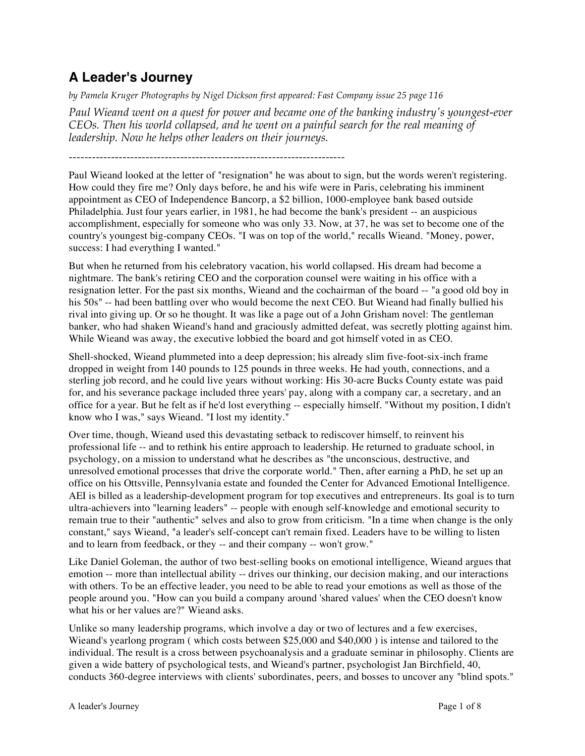# **A Leader's Journey**

*by Pamela Kruger Photographs by Nigel Dickson first appeared: Fast Company issue 25 page 116*

*Paul Wieand went on a quest for power and became one of the banking industry's youngest-ever CEOs. Then his world collapsed, and he went on a painful search for the real meaning of leadership. Now he helps other leaders on their journeys.*

------------------------------------------------------------------------

Paul Wieand looked at the letter of "resignation" he was about to sign, but the words weren't registering. How could they fire me? Only days before, he and his wife were in Paris, celebrating his imminent appointment as CEO of Independence Bancorp, a \$2 billion, 1000-employee bank based outside Philadelphia. Just four years earlier, in 1981, he had become the bank's president -- an auspicious accomplishment, especially for someone who was only 33. Now, at 37, he was set to become one of the country's youngest big-company CEOs. "I was on top of the world," recalls Wieand. "Money, power, success: I had everything I wanted."

But when he returned from his celebratory vacation, his world collapsed. His dream had become a nightmare. The bank's retiring CEO and the corporation counsel were waiting in his office with a resignation letter. For the past six months, Wieand and the cochairman of the board -- "a good old boy in his 50s" -- had been battling over who would become the next CEO. But Wieand had finally bullied his rival into giving up. Or so he thought. It was like a page out of a John Grisham novel: The gentleman banker, who had shaken Wieand's hand and graciously admitted defeat, was secretly plotting against him. While Wieand was away, the executive lobbied the board and got himself voted in as CEO.

Shell-shocked, Wieand plummeted into a deep depression; his already slim five-foot-six-inch frame dropped in weight from 140 pounds to 125 pounds in three weeks. He had youth, connections, and a sterling job record, and he could live years without working: His 30-acre Bucks County estate was paid for, and his severance package included three years' pay, along with a company car, a secretary, and an office for a year. But he felt as if he'd lost everything -- especially himself. "Without my position, I didn't know who I was," says Wieand. "I lost my identity."

Over time, though, Wieand used this devastating setback to rediscover himself, to reinvent his professional life -- and to rethink his entire approach to leadership. He returned to graduate school, in psychology, on a mission to understand what he describes as "the unconscious, destructive, and unresolved emotional processes that drive the corporate world." Then, after earning a PhD, he set up an office on his Ottsville, Pennsylvania estate and founded the Center for Advanced Emotional Intelligence. AEI is billed as a leadership-development program for top executives and entrepreneurs. Its goal is to turn ultra-achievers into "learning leaders" -- people with enough self-knowledge and emotional security to remain true to their "authentic" selves and also to grow from criticism. "In a time when change is the only constant," says Wieand, "a leader's self-concept can't remain fixed. Leaders have to be willing to listen and to learn from feedback, or they -- and their company -- won't grow."

Like Daniel Goleman, the author of two best-selling books on emotional intelligence, Wieand argues that emotion -- more than intellectual ability -- drives our thinking, our decision making, and our interactions with others. To be an effective leader, you need to be able to read your emotions as well as those of the people around you. "How can you build a company around 'shared values' when the CEO doesn't know what his or her values are?" Wieand asks.

Unlike so many leadership programs, which involve a day or two of lectures and a few exercises, Wieand's yearlong program ( which costs between \$25,000 and \$40,000 ) is intense and tailored to the individual. The result is a cross between psychoanalysis and a graduate seminar in philosophy. Clients are given a wide battery of psychological tests, and Wieand's partner, psychologist Jan Birchfield, 40, conducts 360-degree interviews with clients' subordinates, peers, and bosses to uncover any "blind spots."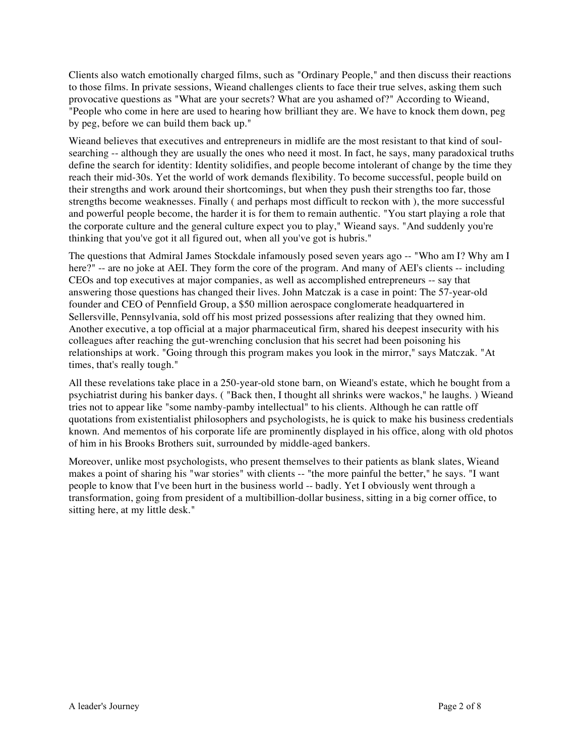Clients also watch emotionally charged films, such as "Ordinary People," and then discuss their reactions to those films. In private sessions, Wieand challenges clients to face their true selves, asking them such provocative questions as "What are your secrets? What are you ashamed of?" According to Wieand, "People who come in here are used to hearing how brilliant they are. We have to knock them down, peg by peg, before we can build them back up."

Wieand believes that executives and entrepreneurs in midlife are the most resistant to that kind of soulsearching -- although they are usually the ones who need it most. In fact, he says, many paradoxical truths define the search for identity: Identity solidifies, and people become intolerant of change by the time they reach their mid-30s. Yet the world of work demands flexibility. To become successful, people build on their strengths and work around their shortcomings, but when they push their strengths too far, those strengths become weaknesses. Finally ( and perhaps most difficult to reckon with ), the more successful and powerful people become, the harder it is for them to remain authentic. "You start playing a role that the corporate culture and the general culture expect you to play," Wieand says. "And suddenly you're thinking that you've got it all figured out, when all you've got is hubris."

The questions that Admiral James Stockdale infamously posed seven years ago -- "Who am I? Why am I here?" -- are no joke at AEI. They form the core of the program. And many of AEI's clients -- including CEOs and top executives at major companies, as well as accomplished entrepreneurs -- say that answering those questions has changed their lives. John Matczak is a case in point: The 57-year-old founder and CEO of Pennfield Group, a \$50 million aerospace conglomerate headquartered in Sellersville, Pennsylvania, sold off his most prized possessions after realizing that they owned him. Another executive, a top official at a major pharmaceutical firm, shared his deepest insecurity with his colleagues after reaching the gut-wrenching conclusion that his secret had been poisoning his relationships at work. "Going through this program makes you look in the mirror," says Matczak. "At times, that's really tough."

All these revelations take place in a 250-year-old stone barn, on Wieand's estate, which he bought from a psychiatrist during his banker days. ( "Back then, I thought all shrinks were wackos," he laughs. ) Wieand tries not to appear like "some namby-pamby intellectual" to his clients. Although he can rattle off quotations from existentialist philosophers and psychologists, he is quick to make his business credentials known. And mementos of his corporate life are prominently displayed in his office, along with old photos of him in his Brooks Brothers suit, surrounded by middle-aged bankers.

Moreover, unlike most psychologists, who present themselves to their patients as blank slates, Wieand makes a point of sharing his "war stories" with clients -- "the more painful the better," he says. "I want people to know that I've been hurt in the business world -- badly. Yet I obviously went through a transformation, going from president of a multibillion-dollar business, sitting in a big corner office, to sitting here, at my little desk."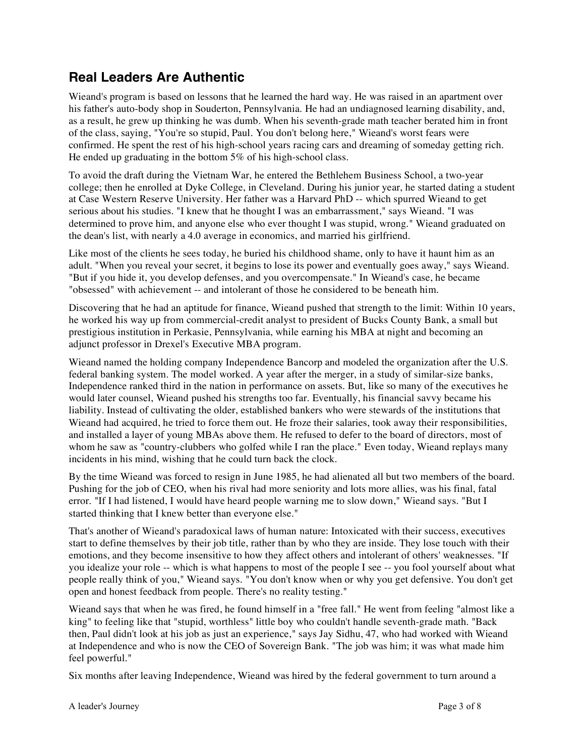### **Real Leaders Are Authentic**

Wieand's program is based on lessons that he learned the hard way. He was raised in an apartment over his father's auto-body shop in Souderton, Pennsylvania. He had an undiagnosed learning disability, and, as a result, he grew up thinking he was dumb. When his seventh-grade math teacher berated him in front of the class, saying, "You're so stupid, Paul. You don't belong here," Wieand's worst fears were confirmed. He spent the rest of his high-school years racing cars and dreaming of someday getting rich. He ended up graduating in the bottom 5% of his high-school class.

To avoid the draft during the Vietnam War, he entered the Bethlehem Business School, a two-year college; then he enrolled at Dyke College, in Cleveland. During his junior year, he started dating a student at Case Western Reserve University. Her father was a Harvard PhD -- which spurred Wieand to get serious about his studies. "I knew that he thought I was an embarrassment," says Wieand. "I was determined to prove him, and anyone else who ever thought I was stupid, wrong." Wieand graduated on the dean's list, with nearly a 4.0 average in economics, and married his girlfriend.

Like most of the clients he sees today, he buried his childhood shame, only to have it haunt him as an adult. "When you reveal your secret, it begins to lose its power and eventually goes away," says Wieand. "But if you hide it, you develop defenses, and you overcompensate." In Wieand's case, he became "obsessed" with achievement -- and intolerant of those he considered to be beneath him.

Discovering that he had an aptitude for finance, Wieand pushed that strength to the limit: Within 10 years, he worked his way up from commercial-credit analyst to president of Bucks County Bank, a small but prestigious institution in Perkasie, Pennsylvania, while earning his MBA at night and becoming an adjunct professor in Drexel's Executive MBA program.

Wieand named the holding company Independence Bancorp and modeled the organization after the U.S. federal banking system. The model worked. A year after the merger, in a study of similar-size banks, Independence ranked third in the nation in performance on assets. But, like so many of the executives he would later counsel, Wieand pushed his strengths too far. Eventually, his financial savvy became his liability. Instead of cultivating the older, established bankers who were stewards of the institutions that Wieand had acquired, he tried to force them out. He froze their salaries, took away their responsibilities, and installed a layer of young MBAs above them. He refused to defer to the board of directors, most of whom he saw as "country-clubbers who golfed while I ran the place." Even today, Wieand replays many incidents in his mind, wishing that he could turn back the clock.

By the time Wieand was forced to resign in June 1985, he had alienated all but two members of the board. Pushing for the job of CEO, when his rival had more seniority and lots more allies, was his final, fatal error. "If I had listened, I would have heard people warning me to slow down," Wieand says. "But I started thinking that I knew better than everyone else."

That's another of Wieand's paradoxical laws of human nature: Intoxicated with their success, executives start to define themselves by their job title, rather than by who they are inside. They lose touch with their emotions, and they become insensitive to how they affect others and intolerant of others' weaknesses. "If you idealize your role -- which is what happens to most of the people I see -- you fool yourself about what people really think of you," Wieand says. "You don't know when or why you get defensive. You don't get open and honest feedback from people. There's no reality testing."

Wieand says that when he was fired, he found himself in a "free fall." He went from feeling "almost like a king" to feeling like that "stupid, worthless" little boy who couldn't handle seventh-grade math. "Back then, Paul didn't look at his job as just an experience," says Jay Sidhu, 47, who had worked with Wieand at Independence and who is now the CEO of Sovereign Bank. "The job was him; it was what made him feel powerful."

Six months after leaving Independence, Wieand was hired by the federal government to turn around a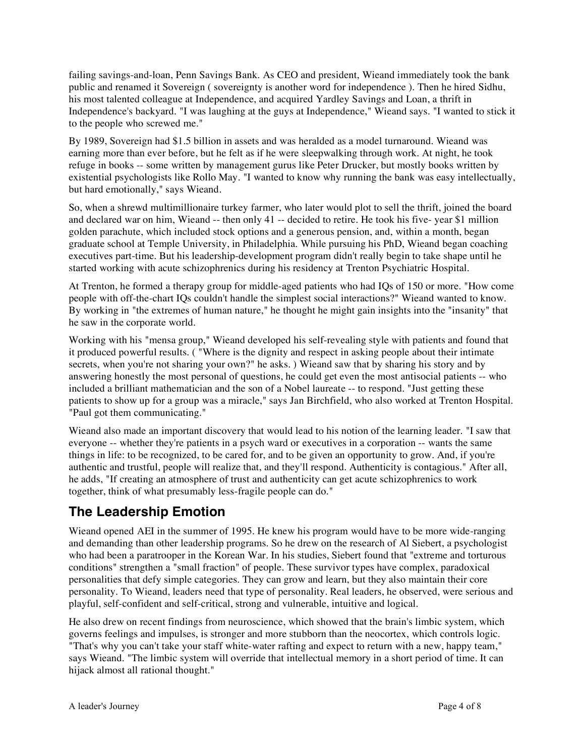failing savings-and-loan, Penn Savings Bank. As CEO and president, Wieand immediately took the bank public and renamed it Sovereign ( sovereignty is another word for independence ). Then he hired Sidhu, his most talented colleague at Independence, and acquired Yardley Savings and Loan, a thrift in Independence's backyard. "I was laughing at the guys at Independence," Wieand says. "I wanted to stick it to the people who screwed me."

By 1989, Sovereign had \$1.5 billion in assets and was heralded as a model turnaround. Wieand was earning more than ever before, but he felt as if he were sleepwalking through work. At night, he took refuge in books -- some written by management gurus like Peter Drucker, but mostly books written by existential psychologists like Rollo May. "I wanted to know why running the bank was easy intellectually, but hard emotionally," says Wieand.

So, when a shrewd multimillionaire turkey farmer, who later would plot to sell the thrift, joined the board and declared war on him, Wieand -- then only 41 -- decided to retire. He took his five- year \$1 million golden parachute, which included stock options and a generous pension, and, within a month, began graduate school at Temple University, in Philadelphia. While pursuing his PhD, Wieand began coaching executives part-time. But his leadership-development program didn't really begin to take shape until he started working with acute schizophrenics during his residency at Trenton Psychiatric Hospital.

At Trenton, he formed a therapy group for middle-aged patients who had IQs of 150 or more. "How come people with off-the-chart IQs couldn't handle the simplest social interactions?" Wieand wanted to know. By working in "the extremes of human nature," he thought he might gain insights into the "insanity" that he saw in the corporate world.

Working with his "mensa group," Wieand developed his self-revealing style with patients and found that it produced powerful results. ( "Where is the dignity and respect in asking people about their intimate secrets, when you're not sharing your own?" he asks. ) Wieand saw that by sharing his story and by answering honestly the most personal of questions, he could get even the most antisocial patients -- who included a brilliant mathematician and the son of a Nobel laureate -- to respond. "Just getting these patients to show up for a group was a miracle," says Jan Birchfield, who also worked at Trenton Hospital. "Paul got them communicating."

Wieand also made an important discovery that would lead to his notion of the learning leader. "I saw that everyone -- whether they're patients in a psych ward or executives in a corporation -- wants the same things in life: to be recognized, to be cared for, and to be given an opportunity to grow. And, if you're authentic and trustful, people will realize that, and they'll respond. Authenticity is contagious." After all, he adds, "If creating an atmosphere of trust and authenticity can get acute schizophrenics to work together, think of what presumably less-fragile people can do."

# **The Leadership Emotion**

Wieand opened AEI in the summer of 1995. He knew his program would have to be more wide-ranging and demanding than other leadership programs. So he drew on the research of Al Siebert, a psychologist who had been a paratrooper in the Korean War. In his studies, Siebert found that "extreme and torturous conditions" strengthen a "small fraction" of people. These survivor types have complex, paradoxical personalities that defy simple categories. They can grow and learn, but they also maintain their core personality. To Wieand, leaders need that type of personality. Real leaders, he observed, were serious and playful, self-confident and self-critical, strong and vulnerable, intuitive and logical.

He also drew on recent findings from neuroscience, which showed that the brain's limbic system, which governs feelings and impulses, is stronger and more stubborn than the neocortex, which controls logic. "That's why you can't take your staff white-water rafting and expect to return with a new, happy team," says Wieand. "The limbic system will override that intellectual memory in a short period of time. It can hijack almost all rational thought."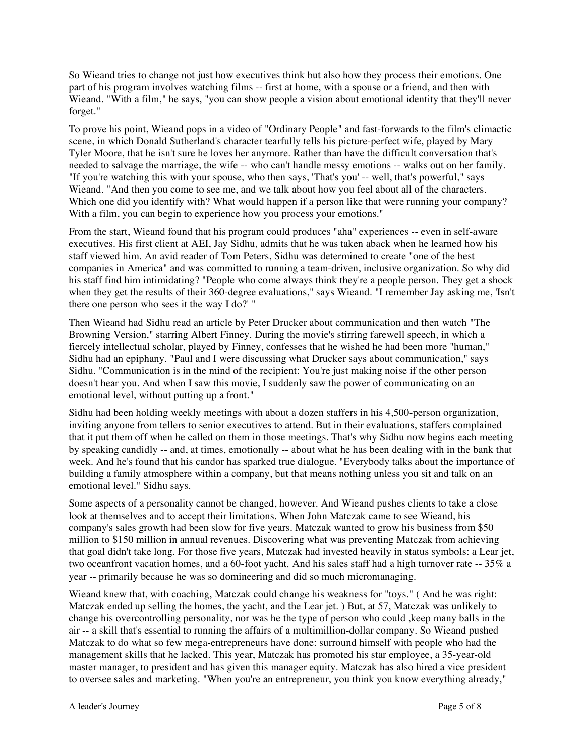So Wieand tries to change not just how executives think but also how they process their emotions. One part of his program involves watching films -- first at home, with a spouse or a friend, and then with Wieand. "With a film," he says, "you can show people a vision about emotional identity that they'll never forget."

To prove his point, Wieand pops in a video of "Ordinary People" and fast-forwards to the film's climactic scene, in which Donald Sutherland's character tearfully tells his picture-perfect wife, played by Mary Tyler Moore, that he isn't sure he loves her anymore. Rather than have the difficult conversation that's needed to salvage the marriage, the wife -- who can't handle messy emotions -- walks out on her family. "If you're watching this with your spouse, who then says, 'That's you' -- well, that's powerful," says Wieand. "And then you come to see me, and we talk about how you feel about all of the characters. Which one did you identify with? What would happen if a person like that were running your company? With a film, you can begin to experience how you process your emotions."

From the start, Wieand found that his program could produces "aha" experiences -- even in self-aware executives. His first client at AEI, Jay Sidhu, admits that he was taken aback when he learned how his staff viewed him. An avid reader of Tom Peters, Sidhu was determined to create "one of the best companies in America" and was committed to running a team-driven, inclusive organization. So why did his staff find him intimidating? "People who come always think they're a people person. They get a shock when they get the results of their 360-degree evaluations," says Wieand. "I remember Jay asking me, 'Isn't there one person who sees it the way I do?' "

Then Wieand had Sidhu read an article by Peter Drucker about communication and then watch "The Browning Version," starring Albert Finney. During the movie's stirring farewell speech, in which a fiercely intellectual scholar, played by Finney, confesses that he wished he had been more "human," Sidhu had an epiphany. "Paul and I were discussing what Drucker says about communication," says Sidhu. "Communication is in the mind of the recipient: You're just making noise if the other person doesn't hear you. And when I saw this movie, I suddenly saw the power of communicating on an emotional level, without putting up a front."

Sidhu had been holding weekly meetings with about a dozen staffers in his 4,500-person organization, inviting anyone from tellers to senior executives to attend. But in their evaluations, staffers complained that it put them off when he called on them in those meetings. That's why Sidhu now begins each meeting by speaking candidly -- and, at times, emotionally -- about what he has been dealing with in the bank that week. And he's found that his candor has sparked true dialogue. "Everybody talks about the importance of building a family atmosphere within a company, but that means nothing unless you sit and talk on an emotional level." Sidhu says.

Some aspects of a personality cannot be changed, however. And Wieand pushes clients to take a close look at themselves and to accept their limitations. When John Matczak came to see Wieand, his company's sales growth had been slow for five years. Matczak wanted to grow his business from \$50 million to \$150 million in annual revenues. Discovering what was preventing Matczak from achieving that goal didn't take long. For those five years, Matczak had invested heavily in status symbols: a Lear jet, two oceanfront vacation homes, and a 60-foot yacht. And his sales staff had a high turnover rate -- 35% a year -- primarily because he was so domineering and did so much micromanaging.

Wieand knew that, with coaching, Matczak could change his weakness for "toys." ( And he was right: Matczak ended up selling the homes, the yacht, and the Lear jet. ) But, at 57, Matczak was unlikely to change his overcontrolling personality, nor was he the type of person who could ,keep many balls in the air -- a skill that's essential to running the affairs of a multimillion-dollar company. So Wieand pushed Matczak to do what so few mega-entrepreneurs have done: surround himself with people who had the management skills that he lacked. This year, Matczak has promoted his star employee, a 35-year-old master manager, to president and has given this manager equity. Matczak has also hired a vice president to oversee sales and marketing. "When you're an entrepreneur, you think you know everything already,"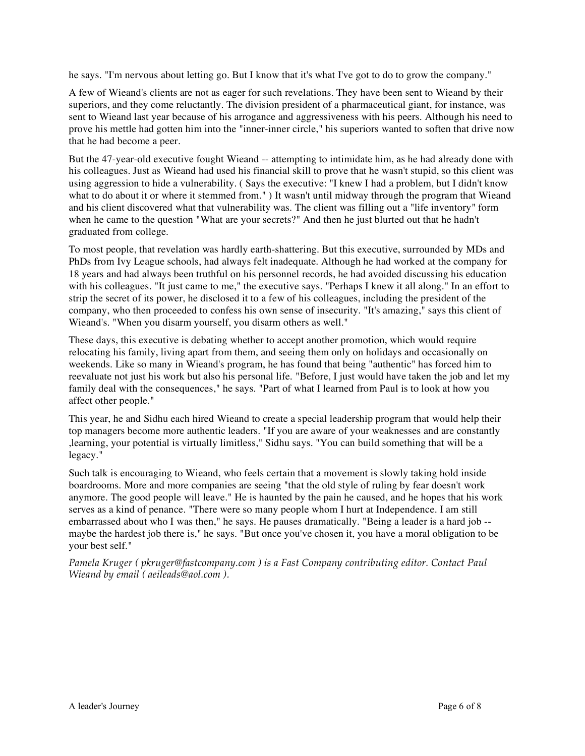he says. "I'm nervous about letting go. But I know that it's what I've got to do to grow the company."

A few of Wieand's clients are not as eager for such revelations. They have been sent to Wieand by their superiors, and they come reluctantly. The division president of a pharmaceutical giant, for instance, was sent to Wieand last year because of his arrogance and aggressiveness with his peers. Although his need to prove his mettle had gotten him into the "inner-inner circle," his superiors wanted to soften that drive now that he had become a peer.

But the 47-year-old executive fought Wieand -- attempting to intimidate him, as he had already done with his colleagues. Just as Wieand had used his financial skill to prove that he wasn't stupid, so this client was using aggression to hide a vulnerability. ( Says the executive: "I knew I had a problem, but I didn't know what to do about it or where it stemmed from." ) It wasn't until midway through the program that Wieand and his client discovered what that vulnerability was. The client was filling out a "life inventory" form when he came to the question "What are your secrets?" And then he just blurted out that he hadn't graduated from college.

To most people, that revelation was hardly earth-shattering. But this executive, surrounded by MDs and PhDs from Ivy League schools, had always felt inadequate. Although he had worked at the company for 18 years and had always been truthful on his personnel records, he had avoided discussing his education with his colleagues. "It just came to me," the executive says. "Perhaps I knew it all along." In an effort to strip the secret of its power, he disclosed it to a few of his colleagues, including the president of the company, who then proceeded to confess his own sense of insecurity. "It's amazing," says this client of Wieand's. "When you disarm yourself, you disarm others as well."

These days, this executive is debating whether to accept another promotion, which would require relocating his family, living apart from them, and seeing them only on holidays and occasionally on weekends. Like so many in Wieand's program, he has found that being "authentic" has forced him to reevaluate not just his work but also his personal life. "Before, I just would have taken the job and let my family deal with the consequences," he says. "Part of what I learned from Paul is to look at how you affect other people."

This year, he and Sidhu each hired Wieand to create a special leadership program that would help their top managers become more authentic leaders. "If you are aware of your weaknesses and are constantly ,learning, your potential is virtually limitless," Sidhu says. "You can build something that will be a legacy."

Such talk is encouraging to Wieand, who feels certain that a movement is slowly taking hold inside boardrooms. More and more companies are seeing "that the old style of ruling by fear doesn't work anymore. The good people will leave." He is haunted by the pain he caused, and he hopes that his work serves as a kind of penance. "There were so many people whom I hurt at Independence. I am still embarrassed about who I was then," he says. He pauses dramatically. "Being a leader is a hard job - maybe the hardest job there is," he says. "But once you've chosen it, you have a moral obligation to be your best self."

*Pamela Kruger ( pkruger@fastcompany.com ) is a Fast Company contributing editor. Contact Paul Wieand by email ( aeileads@aol.com ).*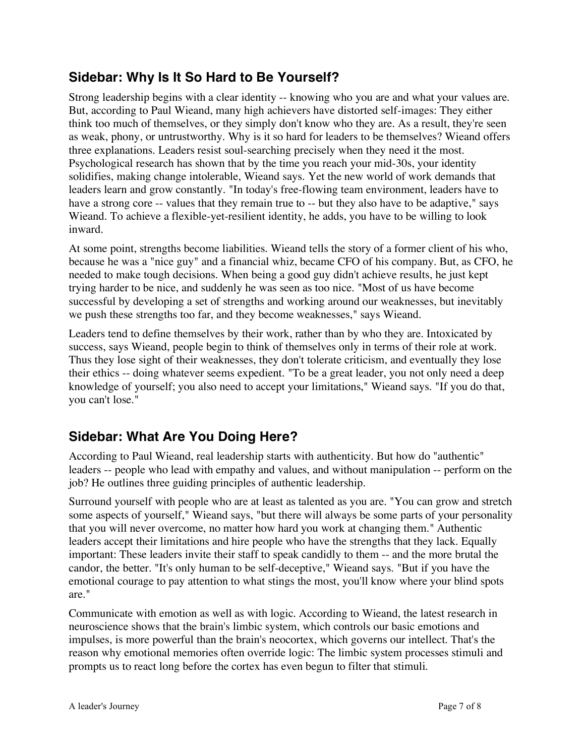### **Sidebar: Why Is It So Hard to Be Yourself?**

Strong leadership begins with a clear identity -- knowing who you are and what your values are. But, according to Paul Wieand, many high achievers have distorted self-images: They either think too much of themselves, or they simply don't know who they are. As a result, they're seen as weak, phony, or untrustworthy. Why is it so hard for leaders to be themselves? Wieand offers three explanations. Leaders resist soul-searching precisely when they need it the most. Psychological research has shown that by the time you reach your mid-30s, your identity solidifies, making change intolerable, Wieand says. Yet the new world of work demands that leaders learn and grow constantly. "In today's free-flowing team environment, leaders have to have a strong core -- values that they remain true to -- but they also have to be adaptive," says Wieand. To achieve a flexible-yet-resilient identity, he adds, you have to be willing to look inward.

At some point, strengths become liabilities. Wieand tells the story of a former client of his who, because he was a "nice guy" and a financial whiz, became CFO of his company. But, as CFO, he needed to make tough decisions. When being a good guy didn't achieve results, he just kept trying harder to be nice, and suddenly he was seen as too nice. "Most of us have become successful by developing a set of strengths and working around our weaknesses, but inevitably we push these strengths too far, and they become weaknesses," says Wieand.

Leaders tend to define themselves by their work, rather than by who they are. Intoxicated by success, says Wieand, people begin to think of themselves only in terms of their role at work. Thus they lose sight of their weaknesses, they don't tolerate criticism, and eventually they lose their ethics -- doing whatever seems expedient. "To be a great leader, you not only need a deep knowledge of yourself; you also need to accept your limitations," Wieand says. "If you do that, you can't lose."

### **Sidebar: What Are You Doing Here?**

According to Paul Wieand, real leadership starts with authenticity. But how do "authentic" leaders -- people who lead with empathy and values, and without manipulation -- perform on the job? He outlines three guiding principles of authentic leadership.

Surround yourself with people who are at least as talented as you are. "You can grow and stretch some aspects of yourself," Wieand says, "but there will always be some parts of your personality that you will never overcome, no matter how hard you work at changing them." Authentic leaders accept their limitations and hire people who have the strengths that they lack. Equally important: These leaders invite their staff to speak candidly to them -- and the more brutal the candor, the better. "It's only human to be self-deceptive," Wieand says. "But if you have the emotional courage to pay attention to what stings the most, you'll know where your blind spots are."

Communicate with emotion as well as with logic. According to Wieand, the latest research in neuroscience shows that the brain's limbic system, which controls our basic emotions and impulses, is more powerful than the brain's neocortex, which governs our intellect. That's the reason why emotional memories often override logic: The limbic system processes stimuli and prompts us to react long before the cortex has even begun to filter that stimuli.